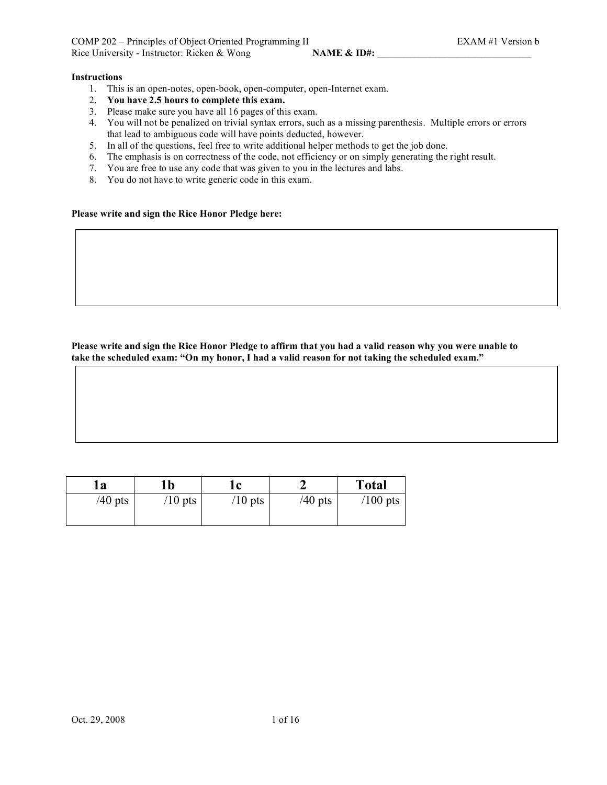# **Instructions**

- 1. This is an open-notes, open-book, open-computer, open-Internet exam.
- 2. **You have 2.5 hours to complete this exam.**
- 3. Please make sure you have all 16 pages of this exam.
- 4. You will not be penalized on trivial syntax errors, such as a missing parenthesis. Multiple errors or errors that lead to ambiguous code will have points deducted, however.
- 5. In all of the questions, feel free to write additional helper methods to get the job done.
- 6. The emphasis is on correctness of the code, not efficiency or on simply generating the right result.
- 7. You are free to use any code that was given to you in the lectures and labs.
- 8. You do not have to write generic code in this exam.

## **Please write and sign the Rice Honor Pledge here:**

Please write and sign the Rice Honor Pledge to affirm that you had a valid reason why you were unable to **take the scheduled exam: "On my honor, I had a valid reason for not taking the scheduled exam."**

| 1a        | 1b        | ıc        |           | <b>Total</b> |
|-----------|-----------|-----------|-----------|--------------|
| $/40$ pts | $/10$ pts | $/10$ pts | $/40$ pts | $/100$ pts   |
|           |           |           |           |              |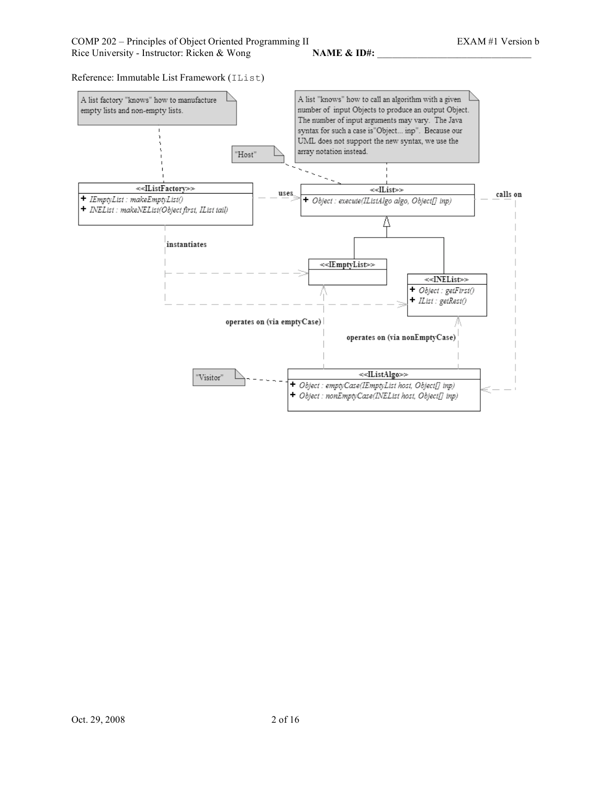Reference: Immutable List Framework (IList)

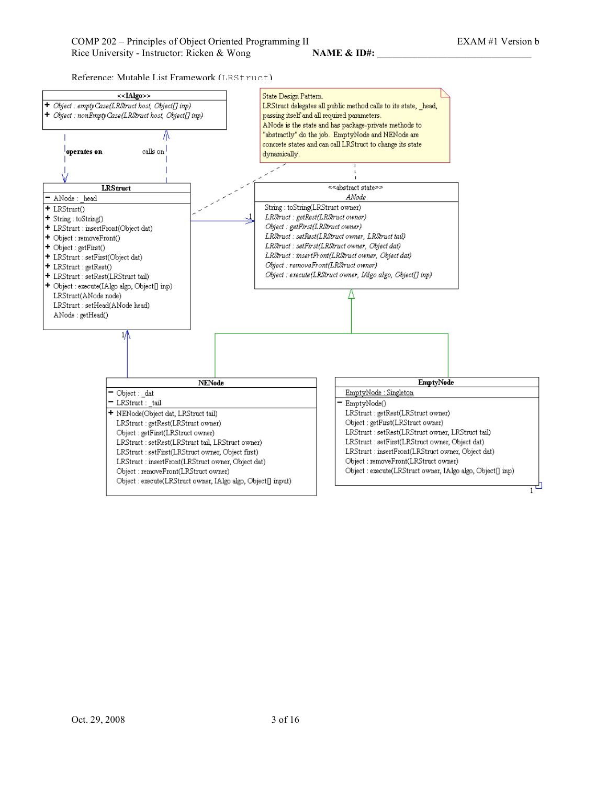Reference: Mutable List Framework (LRStruct)

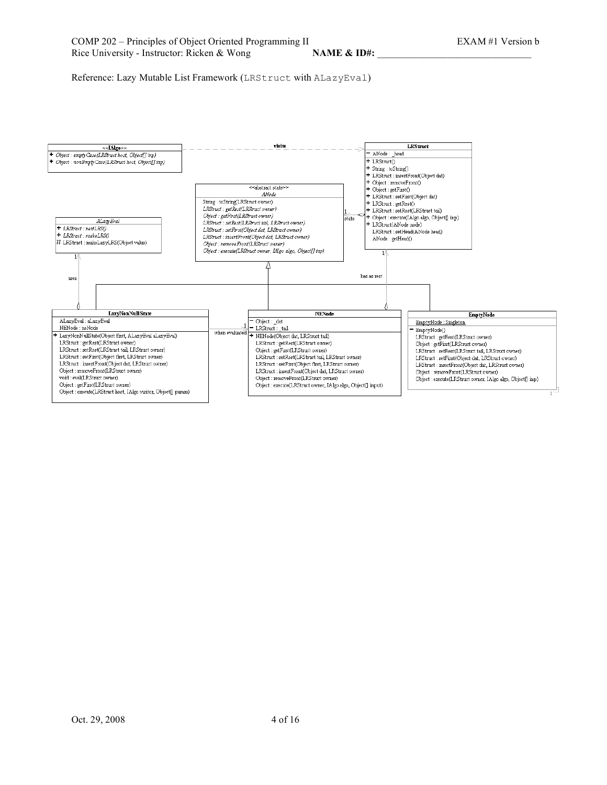Reference: Lazy Mutable List Framework (LRStruct with ALazyEval)

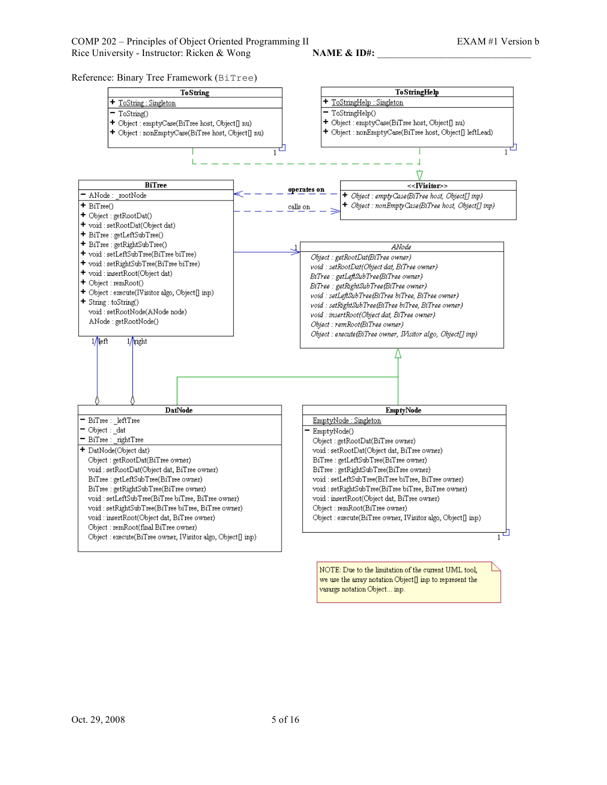Reference: Binary Tree Framework (BiTree)



NOTE: Due to the limitation of the current UML tool, we use the array notation  $\operatorname{Object}[]$  inp to represent the varargs notation Object... inp.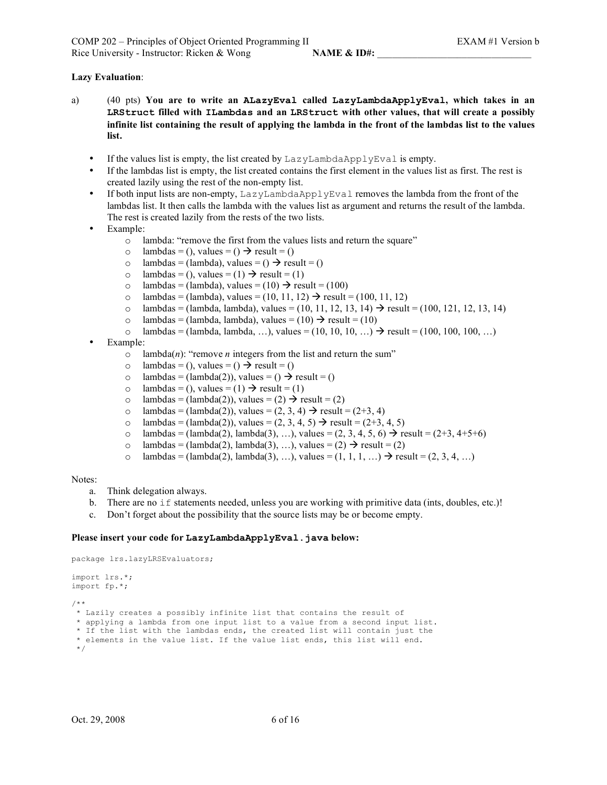# **Lazy Evaluation**:

- a) (40 pts) **You are to write an ALazyEval called LazyLambdaApplyEval, which takes in an LRStruct filled with ILambdas and an LRStruct with other values, that will create a possibly** infinite list containing the result of applying the lambda in the front of the lambdas list to the values **list.**
	- If the values list is empty, the list created by LazyLambdaApplyEval is empty.
	- If the lambdas list is empty, the list created contains the first element in the values list as first. The rest is created lazily using the rest of the non-empty list.
	- If both input lists are non-empty, LazyLambdaApplyEval removes the lambda from the front of the lambdas list. It then calls the lambda with the values list as argument and returns the result of the lambda. The rest is created lazily from the rests of the two lists.
	- Example:
		- o lambda: "remove the first from the values lists and return the square"
		- o lambdas = (), values = ()  $\rightarrow$  result = ()
		- o lambdas = (lambda), values = ()  $\rightarrow$  result = ()
		- o lambdas = (), values = (1)  $\rightarrow$  result = (1)
		- o lambdas = (lambda), values = (10)  $\rightarrow$  result = (100)
		- o lambdas = (lambda), values = (10, 11, 12)  $\rightarrow$  result = (100, 11, 12)
		- o lambdas = (lambda, lambda), values = (10, 11, 12, 13, 14)  $\rightarrow$  result = (100, 121, 12, 13, 14)
		- o lambdas = (lambda, lambda), values =  $(10) \rightarrow$  result =  $(10)$
		- $\circ$  lambdas = (lambda, lambda, …), values = (10, 10, 10, …)  $\rightarrow$  result = (100, 100, 100, …)
	- Example:
		- $\circ$  lambda(*n*): "remove *n* integers from the list and return the sum"
		- o lambdas = (), values = ()  $\rightarrow$  result = ()
		- o lambdas = (lambda(2)), values = ()  $\rightarrow$  result = ()
		- o lambdas = (), values = (1)  $\rightarrow$  result = (1)
		- o lambdas = (lambda(2)), values = (2)  $\rightarrow$  result = (2)
		- o lambdas = (lambda(2)), values =  $(2, 3, 4) \rightarrow$  result =  $(2+3, 4)$
		- o lambdas = (lambda(2)), values =  $(2, 3, 4, 5)$   $\rightarrow$  result =  $(2+3, 4, 5)$
		- o lambdas = (lambda(2), lambda(3), …), values =  $(2, 3, 4, 5, 6) \rightarrow$  result = (2+3, 4+5+6)
		- o lambdas = (lambda(2), lambda(3), ...), values = (2)  $\rightarrow$  result = (2)
		- o lambdas = (lambda(2), lambda(3), ...), values =  $(1, 1, 1, ...)$   $\rightarrow$  result =  $(2, 3, 4, ...)$

#### Notes:

- a. Think delegation always.
- b. There are no if statements needed, unless you are working with primitive data (ints, doubles, etc.)!
- c. Don't forget about the possibility that the source lists may be or become empty.

#### **Please insert your code for LazyLambdaApplyEval.java below:**

```
package lrs.lazyLRSEvaluators;
import lrs.*;
import fp.*;
/**
* Lazily creates a possibly infinite list that contains the result of
 * applying a lambda from one input list to a value from a second input list.
 * If the list with the lambdas ends, the created list will contain just the
 * elements in the value list. If the value list ends, this list will end.
 */
```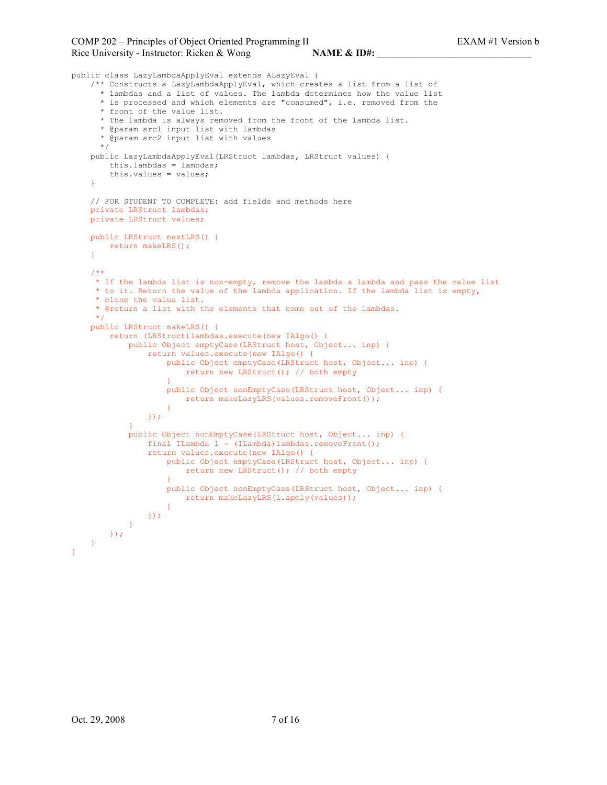```
public class LazyLambdaApplyEval extends ALazyEval {
    /** Constructs a LazyLambdaApplyEval, which creates a list from a list of
     * lambdas and a list of values. The lambda determines how the value list
      * is processed and which elements are "consumed", i.e. removed from the
      * front of the value list.
      * The lambda is always removed from the front of the lambda list.
      * @param src1 input list with lambdas
      * @param src2 input list with values
      */
    public LazyLambdaApplyEval(LRStruct lambdas, LRStruct values) {
       this.lambdas = lambdas;
        this.values = values;
    }
    // FOR STUDENT TO COMPLETE: add fields and methods here
    private LRStruct lambdas;
    private LRStruct values;
   public LRStruct nextLRS() {
       return makeLRS();
    }
    /**
    * If the lambda list is non-empty, remove the lambda a lambda and pass the value list
     * to it. Return the value of the lambda application. If the lambda list is empty,
     * clone the value list.
     * @return a list with the elements that come out of the lambdas.
     */
    public LRStruct makeLRS() {
       return (LRStruct)lambdas.execute(new IAlgo() {
            public Object emptyCase(LRStruct host, Object... inp) {
               return values.execute(new IAlgo() {
                    public Object emptyCase(LRStruct host, Object... inp) {
                       return new LRStruct(); // both empty
                    }
                   public Object nonEmptyCase(LRStruct host, Object... inp) {
                       return makeLazyLRS(values.removeFront());
                    }
                });
            }
            public Object nonEmptyCase(LRStruct host, Object... inp) {
                final ILambda l = (ILambda)lambdas.removeFront();
                return values.execute(new IAlgo() {
                   public Object emptyCase(LRStruct host, Object... inp) {
                       return new LRStruct(); // both empty
                    }
                    public Object nonEmptyCase(LRStruct host, Object... inp) {
                       return makeLazyLRS(l.apply(values));
                    }
               });
            }
        });
    }
}
```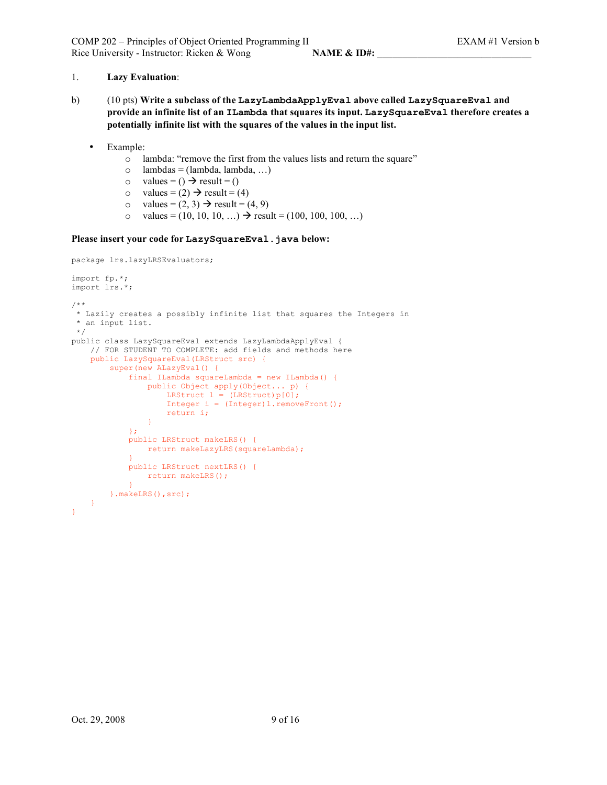# 1. **Lazy Evaluation**:

- b) (10 pts) **Write a subclass of the LazyLambdaApplyEval above called LazySquareEval and provide an infinite list of an ILambda that squares its input. LazySquareEval therefore creates a potentially infinite list with the squares of the values in the input list.**
	- Example:
		- o lambda: "remove the first from the values lists and return the square"
		- $\circ$  lambdas = (lambda, lambda, ...)
		- $\circ$  values = ()  $\rightarrow$  result = ()
		- o values =  $(2) \rightarrow$  result =  $(4)$
		- o values =  $(2, 3) \rightarrow$  result =  $(4, 9)$
		- o values =  $(10, 10, 10, ...)$   $\rightarrow$  result =  $(100, 100, 100, ...)$

## **Please insert your code for LazySquareEval.java below:**

```
package lrs.lazyLRSEvaluators;
import fp.*;
import lrs.*;
/**
* Lazily creates a possibly infinite list that squares the Integers in
 * an input list.
*/
public class LazySquareEval extends LazyLambdaApplyEval {
   // FOR STUDENT TO COMPLETE: add fields and methods here
   public LazySquareEval(LRStruct src) {
       super(new ALazyEval() {
           final ILambda squareLambda = new ILambda() {
               public Object apply(Object... p) {
                   LRStruct l = (LRStruct)p[0];Integer i = (Integer)l.removeFront();
                   return i;
                }
            };
           public LRStruct makeLRS() {
               return makeLazyLRS(squareLambda);
            }
            public LRStruct nextLRS() {
               return makeLRS();
            \lambda}.makeLRS(),src);
   }
}
```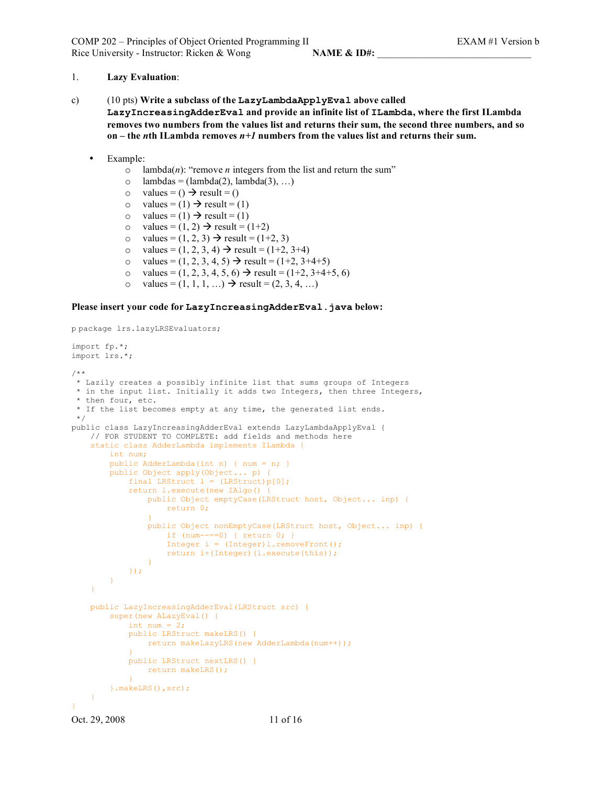#### 1. **Lazy Evaluation**:

c) (10 pts) **Write a subclass of the LazyLambdaApplyEval above called**

**LazyIncreasingAdderEval and provide an infinite list of ILambda, where the first ILambda removes two numbers from the values list and returns their sum, the second three numbers, and so on – the** *n***th ILambda removes** *n+1* **numbers from the values list and returns their sum.**

- Example:
	- $\circ$  lambda(*n*): "remove *n* integers from the list and return the sum"
	- $\circ$  lambdas = (lambda(2), lambda(3), ...)
	- $\circ$  values = ()  $\rightarrow$  result = ()
	- o values =  $(1) \rightarrow$  result =  $(1)$
	- $\circ$  values = (1)  $\rightarrow$  result = (1)
	- o values =  $(1, 2) \rightarrow$  result =  $(1+2)$
	- o values =  $(1, 2, 3) \to \text{result} = (1 + 2, 3)$
	- o values =  $(1, 2, 3, 4) \rightarrow$  result =  $(1+2, 3+4)$
	- o values =  $(1, 2, 3, 4, 5)$   $\rightarrow$  result =  $(1+2, 3+4+5)$
	- o values =  $(1, 2, 3, 4, 5, 6)$   $\rightarrow$  result =  $(1+2, 3+4+5, 6)$
	- o values =  $(1, 1, 1, ...)$   $\rightarrow$  result =  $(2, 3, 4, ...)$

#### **Please insert your code for LazyIncreasingAdderEval.java below:**

p package lrs.lazyLRSEvaluators;

```
import fp.*;
import lrs.*;
/**
* Lazily creates a possibly infinite list that sums groups of Integers
 * in the input list. Initially it adds two Integers, then three Integers,
 * then four, etc.
* If the list becomes empty at any time, the generated list ends.
 */
public class LazyIncreasingAdderEval extends LazyLambdaApplyEval {
   // FOR STUDENT TO COMPLETE: add fields and methods here
   static class AdderLambda implements ILambda {
       int num;
       public AdderLambda(int n) { num = n; }
       public Object apply(Object... p) {
            final LRStruct l = (LRStruct)p[0];return l.execute(new IAlgo() {
               public Object emptyCase(LRStruct host, Object... inp) {
                   return 0;
                }
                public Object nonEmptyCase(LRStruct host, Object... inp) {
                   if (num--==0) { return 0; }
                    Integer i = (Integer) 1.removeFront();
                    return i+(Integer)(l.execute(this));
                }
           });
        }
    }
   public LazyIncreasingAdderEval(LRStruct src) {
       super(new ALazyEval() {
           int num = 2;public LRStruct makeLRS() {
                return makeLazyLRS(new AdderLambda(num++));
            }
           public LRStruct nextLRS() {
               return makeLRS();
            }
        }.makeLRS(),src);
    }
}
```

```
Oct. 29, 2008 11 of 16
```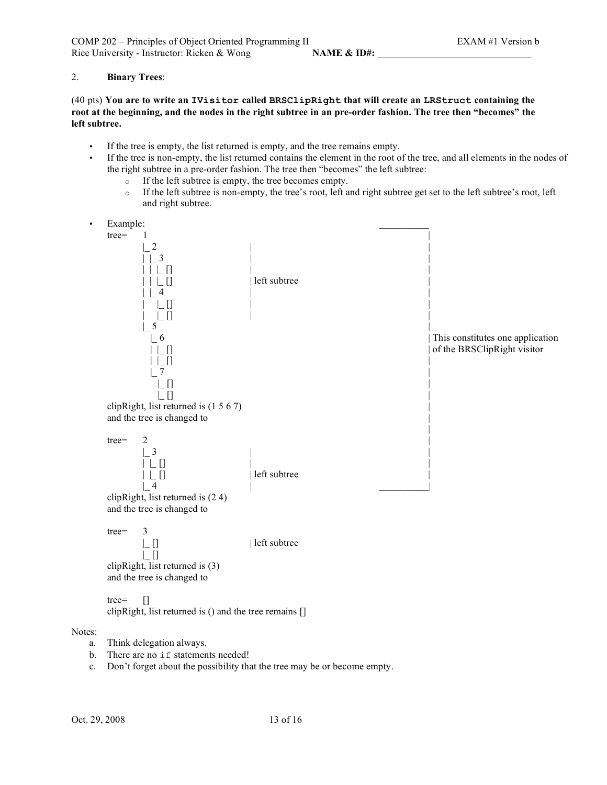# 2. **Binary Trees**:

(40 pts) **You are to write an IVisitor called BRSClipRight that will create an LRStruct containing the** root at the beginning, and the nodes in the right subtree in an pre-order fashion. The tree then "becomes" the **left subtree.**

- If the tree is empty, the list returned is empty, and the tree remains empty.
- If the tree is non-empty, the list returned contains the element in the root of the tree, and all elements in the nodes of the right subtree in a pre-order fashion. The tree then "becomes" the left subtree:
	- o If the left subtree is empty, the tree becomes empty.
	- o If the left subtree is non-empty, the tree's root, left and right subtree get set to the left subtree's root, left and right subtree.
- Example:



c. Don't forget about the possibility that the tree may be or become empty.

Notes: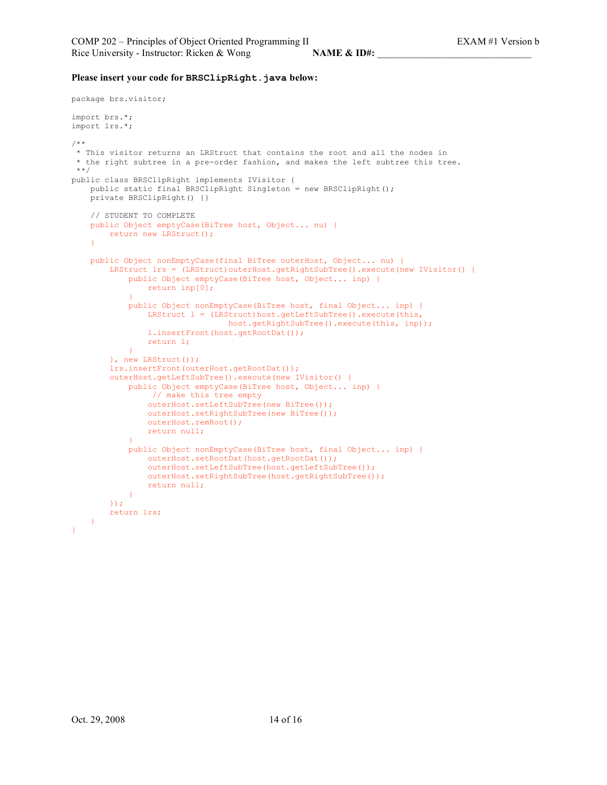#### **Please insert your code for BRSClipRight.java below:**

```
package brs.visitor;
import brs.*;
import lrs.*;
/**
* This visitor returns an LRStruct that contains the root and all the nodes in
* the right subtree in a pre-order fashion, and makes the left subtree this tree.
**/
public class BRSClipRight implements IVisitor {
   public static final BRSClipRight Singleton = new BRSClipRight();
   private BRSClipRight() {}
   // STUDENT TO COMPLETE
   public Object emptyCase(BiTree host, Object... nu) {
       return new LRStruct();
    }
   public Object nonEmptyCase(final BiTree outerHost, Object... nu) {
       LRStruct lrs = (LRStruct)outerHost.getRightSubTree().execute(new IVisitor() {
           public Object emptyCase(BiTree host, Object... inp) {
               return inp[0];
            }
           public Object nonEmptyCase(BiTree host, final Object... inp) {
               LRStruct 1 = (LRStruct)host.getLeftSubTree().execute(this,
                                host.getRightSubTree().execute(this, inp));
               l.insertFront(host.getRootDat());
               return l;
            }
        }, new LRStruct());
        lrs.insertFront(outerHost.getRootDat());
       outerHost.getLeftSubTree().execute(new IVisitor() {
            public Object emptyCase(BiTree host, Object... inp) {
                // make this tree empty
               outerHost.setLeftSubTree(new BiTree());
               outerHost.setRightSubTree(new BiTree());
               outerHost.remRoot();
               return null;
            }
            public Object nonEmptyCase(BiTree host, final Object... inp) {
               outerHost.setRootDat(host.getRootDat());
               outerHost.setLeftSubTree(host.getLeftSubTree());
               outerHost.setRightSubTree(host.getRightSubTree());
               return null;
            }
        });
        return lrs;
    }
}
```